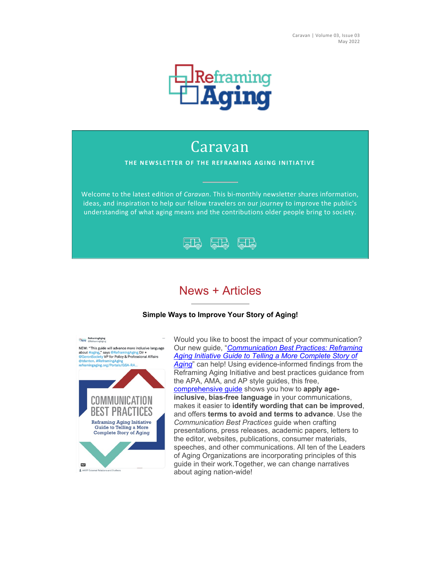

# Caravan

### **THE NEWSLETTER OF THE REFRAMING AGING INITIATIVE**

Welcome to the latest edition of *Caravan*. This bi-monthly newsletter shares information, ideas, and inspiration to help our fellow travelers on our journey to improve the public's understanding of what aging means and the contributions older people bring to society.



# News + Articles

### **Simple Ways to Improve Your Story of Aging!**



Would you like to boost the impact of your communication? Our new guide, "*[Communication Best Practices: Reframing](https://secure.geron.org/cvweb/lt/?https://www.reframingaging.org/Portals/GSA-RA/images/RAI%20Communication%20Best%20Practices%20Guide%20220328.pdf?ver=yoPyMu-AfQLqH9ZuzKqjNw%3d%3d==BA433B5B-99ED-410A-A461-66ADA7EDD726/ALLTESTS)  [Aging Initiative Guide to Telling a More Complete Story of](https://secure.geron.org/cvweb/lt/?https://www.reframingaging.org/Portals/GSA-RA/images/RAI%20Communication%20Best%20Practices%20Guide%20220328.pdf?ver=yoPyMu-AfQLqH9ZuzKqjNw%3d%3d==BA433B5B-99ED-410A-A461-66ADA7EDD726/ALLTESTS)  [Aging](https://secure.geron.org/cvweb/lt/?https://www.reframingaging.org/Portals/GSA-RA/images/RAI%20Communication%20Best%20Practices%20Guide%20220328.pdf?ver=yoPyMu-AfQLqH9ZuzKqjNw%3d%3d==BA433B5B-99ED-410A-A461-66ADA7EDD726/ALLTESTS)*" can help! Using evidence-informed findings from the Reframing Aging Initiative and best practices guidance from the APA, AMA, and AP style guides, this free, [comprehensive guide](https://secure.geron.org/cvweb/lt/?http://www.reframingaging.org/==BA433B5B-99ED-410A-A461-66ADA7EDD726/ALLTESTS) shows you how to **apply ageinclusive, bias-free language** in your communications, makes it easier to **identify wording that can be improved**, and offers **terms to avoid and terms to advance**. Use the *Communication Best Practices* guide when crafting presentations, press releases, academic papers, letters to the editor, websites, publications, consumer materials, speeches, and other communications. All ten of the Leaders of Aging Organizations are incorporating principles of this guide in their work.Together, we can change narratives about aging nation-wide!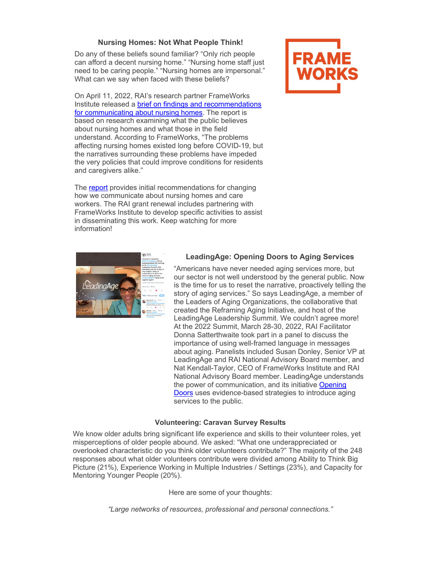## **Nursing Homes: Not What People Think!**

Do any of these beliefs sound familiar? "Only rich people can afford a decent nursing home." "Nursing home staff just need to be caring people." "Nursing homes are impersonal." What can we say when faced with these beliefs?

On April 11, 2022, RAI's research partner FrameWorks Institute released a [brief on findings and recommendations](https://secure.geron.org/cvweb/lt/?https://www.frameworksinstitute.org/publication/communicating-about-nursing-home-care-findings-and-emerging-recommendations/==BA433B5B-99ED-410A-A461-66ADA7EDD726/ALLTESTS)  [for communicating about nursing homes.](https://secure.geron.org/cvweb/lt/?https://www.frameworksinstitute.org/publication/communicating-about-nursing-home-care-findings-and-emerging-recommendations/==BA433B5B-99ED-410A-A461-66ADA7EDD726/ALLTESTS) The report is based on research examining what the public believes about nursing homes and what those in the field understand. According to FrameWorks, "The problems affecting nursing homes existed long before COVID-19, but the narratives surrounding these problems have impeded the very policies that could improve conditions for residents and caregivers alike."

The [report](https://secure.geron.org/cvweb/lt/?https://www.frameworksinstitute.org/publication/communicating-about-nursing-home-care-findings-and-emerging-recommendations/==BA433B5B-99ED-410A-A461-66ADA7EDD726/ALLTESTS) provides initial recommendations for changing how we communicate about nursing homes and care workers. The RAI grant renewal includes partnering with FrameWorks Institute to develop specific activities to assist in disseminating this work. Keep watching for more information!





### **LeadingAge: Opening Doors to Aging Services**

"Americans have never needed aging services more, but our sector is not well understood by the general public. Now is the time for us to reset the narrative, proactively telling the story of aging services." So says LeadingAge, a member of the Leaders of Aging Organizations, the collaborative that created the Reframing Aging Initiative, and host of the LeadingAge Leadership Summit. We couldn't agree more! At the 2022 Summit, March 28-30, 2022, RAI Facilitator Donna Satterthwaite took part in a panel to discuss the importance of using well-framed language in messages about aging. Panelists included Susan Donley, Senior VP at LeadingAge and RAI National Advisory Board member, and Nat Kendall-Taylor, CEO of FrameWorks Institute and RAI National Advisory Board member. LeadingAge understands the power of communication, and its initiative Opening [Doors](https://secure.geron.org/cvweb/lt/?https://openingdoors.org/==BA433B5B-99ED-410A-A461-66ADA7EDD726/ALLTESTS) uses evidence-based strategies to introduce aging services to the public.

### **Volunteering: Caravan Survey Results**

We know older adults bring significant life experience and skills to their volunteer roles, yet misperceptions of older people abound. We asked: "What one underappreciated or overlooked characteristic do you think older volunteers contribute?" The majority of the 248 responses about what older volunteers contribute were divided among Ability to Think Big Picture (21%), Experience Working in Multiple Industries / Settings (23%), and Capacity for Mentoring Younger People (20%).

Here are some of your thoughts:

*"Large networks of resources, professional and personal connections."*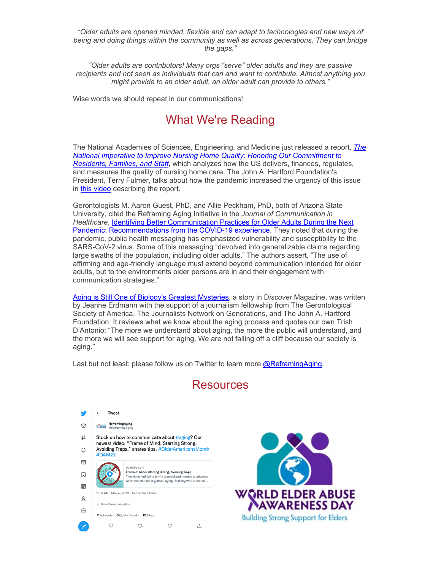*"Older adults are opened minded, flexible and can adapt to technologies and new ways of being and doing things within the community as well as across generations. They can bridge the gaps."*

*"Older adults are contributors! Many orgs "serve" older adults and they are passive recipients and not seen as individuals that can and want to contribute. Almost anything you might provide to an older adult, an older adult can provide to others."*

Wise words we should repeat in our communications!

# What We're Reading

The National Academies of Sciences, Engineering, and Medicine just released a report, *[The](https://secure.geron.org/cvweb/lt/?https://nap.nationalacademies.org/catalog/26526==BA433B5B-99ED-410A-A461-66ADA7EDD726/ALLTESTS)  [National Imperative to Improve Nursing Home Quality: Honoring Our Commitment to](https://secure.geron.org/cvweb/lt/?https://nap.nationalacademies.org/catalog/26526==BA433B5B-99ED-410A-A461-66ADA7EDD726/ALLTESTS)  [Residents, Families, and Staff](https://secure.geron.org/cvweb/lt/?https://nap.nationalacademies.org/catalog/26526==BA433B5B-99ED-410A-A461-66ADA7EDD726/ALLTESTS)*, which analyzes how the US delivers, finances, regulates, and measures the quality of nursing home care. The John A. Hartford Foundation's President, Terry Fulmer, talks about how the pandemic increased the urgency of this issue in [this video](https://secure.geron.org/cvweb/lt/?https://www.youtube.com/watch?v=UUzfmo0ILQY==BA433B5B-99ED-410A-A461-66ADA7EDD726/ALLTESTS) describing the report.

Gerontologists M. Aaron Guest, PhD, and Allie Peckham, PhD, both of Arizona State University, cited the Reframing Aging Initiative in the *Journal of Communication in Healthcare*, [Identifying Better Communication Practices for Older Adults During the Next](https://secure.geron.org/cvweb/lt/?https://www.tandfonline.com/doi/abs/10.1080/17538068.2022.2029104?scroll=top%26needAccess=true%26journalCode=ycih20%23.Yh05yxPJm0c.twitter==BA433B5B-99ED-410A-A461-66ADA7EDD726/ALLTESTS)  [Pandemic: Recommendations from the COVID-19 experience.](https://secure.geron.org/cvweb/lt/?https://www.tandfonline.com/doi/abs/10.1080/17538068.2022.2029104?scroll=top%26needAccess=true%26journalCode=ycih20%23.Yh05yxPJm0c.twitter==BA433B5B-99ED-410A-A461-66ADA7EDD726/ALLTESTS) They noted that during the pandemic, public health messaging has emphasized vulnerability and susceptibility to the SARS-CoV-2 virus. Some of this messaging "devolved into generalizable claims regarding large swaths of the population, including older adults." The authors assert, "The use of affirming and age-friendly language must extend beyond communication intended for older adults, but to the environments older persons are in and their engagement with communication strategies."

[Aging is Still One of Biology's Greatest Mysteries,](https://secure.geron.org/cvweb/lt/?https://www.discovermagazine.com/health/aging-is-still-one-of-biologys-greatest-mysteries==BA433B5B-99ED-410A-A461-66ADA7EDD726/ALLTESTS) a story in D*iscover* Magazine, was written by Jeanne Erdmann with the support of a journalism fellowship from The Gerontological Society of America, The Journalists Network on Generations, and The John A. Hartford Foundation. It reviews what we know about the aging process and quotes our own Trish D'Antonio: "The more we understand about aging, the more the public will understand, and the more we will see support for aging. We are not falling off a cliff because our society is aging."

Last but not least: please follow us on Twitter to learn more  $@$ ReframingAging.

# Resources